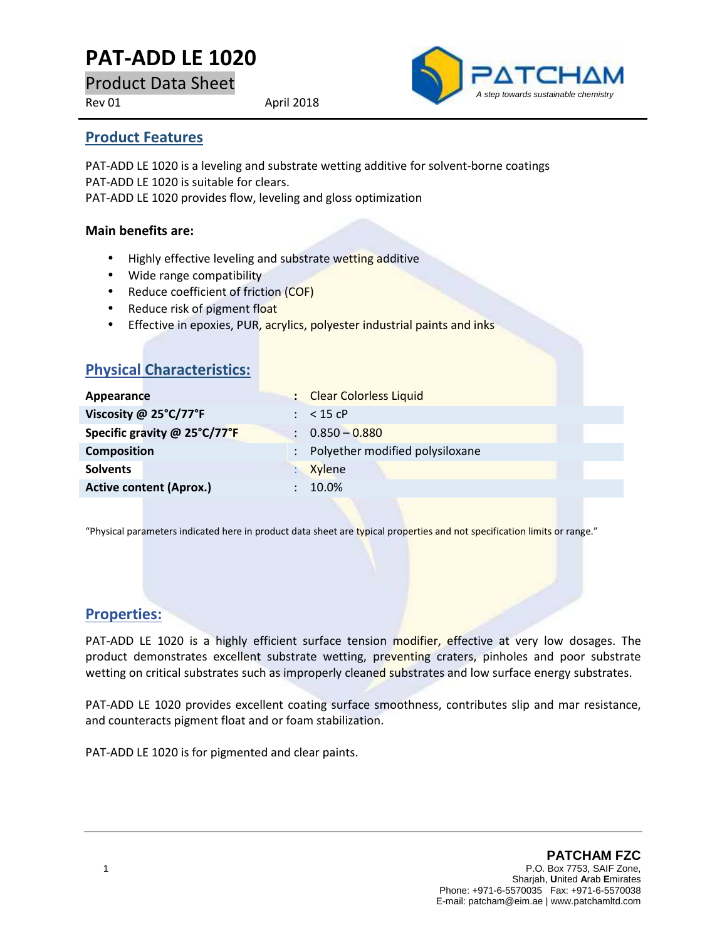# **PAT-ADD LE 1020**

Product Data Sheet

Rev 01 April 2018



### **Product Features**

PAT-ADD LE 1020 is a leveling and substrate wetting additive for solvent-borne coatings PAT-ADD LE 1020 is suitable for clears. PAT-ADD LE 1020 provides flow, leveling and gloss optimization

#### **Main benefits are:**

- Highly effective leveling and substrate wetting additive
- Wide range compatibility
- Reduce coefficient of friction (COF)
- Reduce risk of pigment float
- **Effective in epoxies, PUR, acrylics, polyester industrial paints and inks**

| <b>Physical Characteristics:</b> |                                                         |  |
|----------------------------------|---------------------------------------------------------|--|
| Appearance                       | : Clear Colorless Liquid                                |  |
| Viscosity @ 25°C/77°F            | $:$ < 15 cP                                             |  |
| Specific gravity @ 25°C/77°F     | $\therefore$ 0.850 - 0.880                              |  |
| <b>Composition</b>               | Polyether modified polysiloxane<br>$\ddot{\phantom{a}}$ |  |
| <b>Solvents</b>                  | <b>Xylene</b>                                           |  |
| <b>Active content (Aprox.)</b>   | 10.0%<br>÷                                              |  |
|                                  |                                                         |  |

"Physical parameters indicated here in product data sheet are typical properties and not specification limits or range."

## **Properties:**

PAT-ADD LE 1020 is a highly efficient surface tension modifier, effective at very low dosages. The product demonstrates excellent substrate wetting, preventing craters, pinholes and poor substrate wetting on critical substrates such as improperly cleaned substrates and low surface energy substrates.

PAT-ADD LE 1020 provides excellent coating surface smoothness, contributes slip and mar resistance, and counteracts pigment float and or foam stabilization.

PAT-ADD LE 1020 is for pigmented and clear paints.